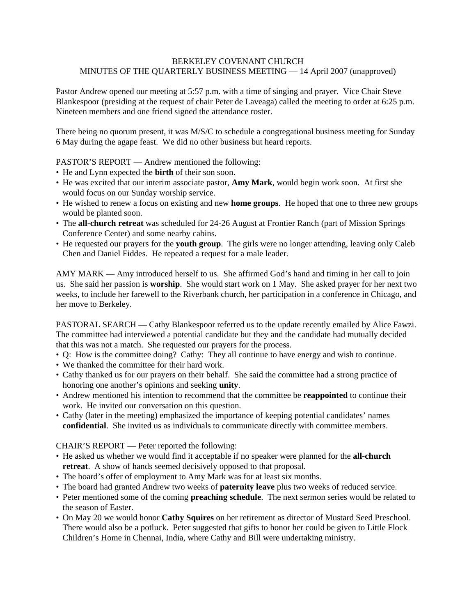## BERKELEY COVENANT CHURCH MINUTES OF THE QUARTERLY BUSINESS MEETING — 14 April 2007 (unapproved)

Pastor Andrew opened our meeting at 5:57 p.m. with a time of singing and prayer. Vice Chair Steve Blankespoor (presiding at the request of chair Peter de Laveaga) called the meeting to order at 6:25 p.m. Nineteen members and one friend signed the attendance roster.

There being no quorum present, it was M/S/C to schedule a congregational business meeting for Sunday 6 May during the agape feast. We did no other business but heard reports.

PASTOR'S REPORT — Andrew mentioned the following:

- He and Lynn expected the **birth** of their son soon.
- He was excited that our interim associate pastor, **Amy Mark**, would begin work soon. At first she would focus on our Sunday worship service.
- He wished to renew a focus on existing and new **home groups**. He hoped that one to three new groups would be planted soon.
- The **all-church retreat** was scheduled for 24-26 August at Frontier Ranch (part of Mission Springs Conference Center) and some nearby cabins.
- He requested our prayers for the **youth group**. The girls were no longer attending, leaving only Caleb Chen and Daniel Fiddes. He repeated a request for a male leader.

AMY MARK — Amy introduced herself to us. She affirmed God's hand and timing in her call to join us. She said her passion is **worship**. She would start work on 1 May. She asked prayer for her next two weeks, to include her farewell to the Riverbank church, her participation in a conference in Chicago, and her move to Berkeley.

PASTORAL SEARCH — Cathy Blankespoor referred us to the update recently emailed by Alice Fawzi. The committee had interviewed a potential candidate but they and the candidate had mutually decided that this was not a match. She requested our prayers for the process.

- Q: How is the committee doing? Cathy: They all continue to have energy and wish to continue.
- We thanked the committee for their hard work.
- Cathy thanked us for our prayers on their behalf. She said the committee had a strong practice of honoring one another's opinions and seeking **unity**.
- Andrew mentioned his intention to recommend that the committee be **reappointed** to continue their work. He invited our conversation on this question.
- Cathy (later in the meeting) emphasized the importance of keeping potential candidates' names **confidential**. She invited us as individuals to communicate directly with committee members.

CHAIR'S REPORT — Peter reported the following:

- He asked us whether we would find it acceptable if no speaker were planned for the **all-church retreat**. A show of hands seemed decisively opposed to that proposal.
- The board's offer of employment to Amy Mark was for at least six months.
- The board had granted Andrew two weeks of **paternity leave** plus two weeks of reduced service.
- Peter mentioned some of the coming **preaching schedule**. The next sermon series would be related to the season of Easter.
- On May 20 we would honor **Cathy Squires** on her retirement as director of Mustard Seed Preschool. There would also be a potluck. Peter suggested that gifts to honor her could be given to Little Flock Children's Home in Chennai, India, where Cathy and Bill were undertaking ministry.